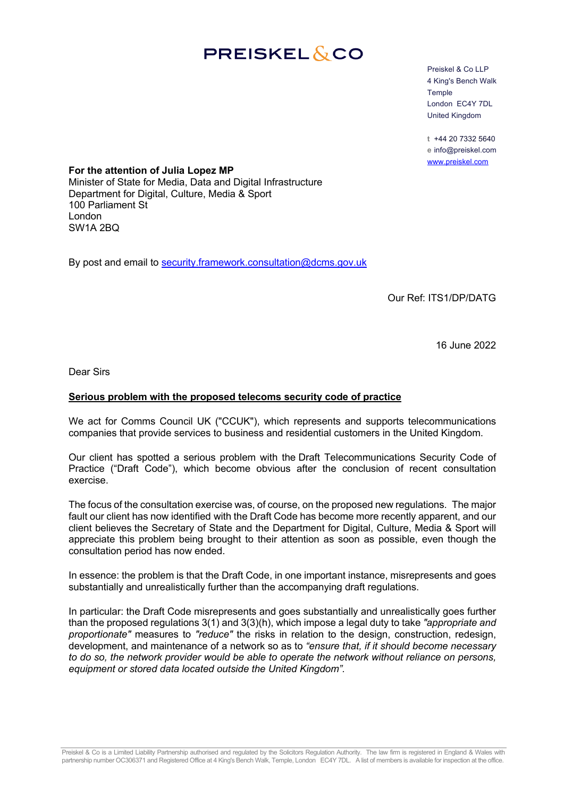## **PREISKEL&CO**

Preiskel & Co LLP 4 King's Bench Walk Temple London EC4Y 7DL United Kingdom

**t** +44 20 7332 5640 **e** info@preiskel.com www.preiskel.com

**For the attention of Julia Lopez MP** Minister of State for Media, Data and Digital Infrastructure Department for Digital, Culture, Media & Sport 100 Parliament St London SW1A 2BQ

By post and email to security.framework.consultation@dcms.gov.uk

Our Ref: ITS1/DP/DATG

16 June 2022

Dear Sirs

## **Serious problem with the proposed telecoms security code of practice**

We act for Comms Council UK ("CCUK"), which represents and supports telecommunications companies that provide services to business and residential customers in the United Kingdom.

Our client has spotted a serious problem with the Draft Telecommunications Security Code of Practice ("Draft Code"), which become obvious after the conclusion of recent consultation exercise.

The focus of the consultation exercise was, of course, on the proposed new regulations. The major fault our client has now identified with the Draft Code has become more recently apparent, and our client believes the Secretary of State and the Department for Digital, Culture, Media & Sport will appreciate this problem being brought to their attention as soon as possible, even though the consultation period has now ended.

In essence: the problem is that the Draft Code, in one important instance, misrepresents and goes substantially and unrealistically further than the accompanying draft regulations.

In particular: the Draft Code misrepresents and goes substantially and unrealistically goes further than the proposed regulations 3(1) and 3(3)(h), which impose a legal duty to take *"appropriate and proportionate"* measures to *"reduce"* the risks in relation to the design, construction, redesign, development, and maintenance of a network so as to *"ensure that, if it should become necessary to do so, the network provider would be able to operate the network without reliance on persons, equipment or stored data located outside the United Kingdom".*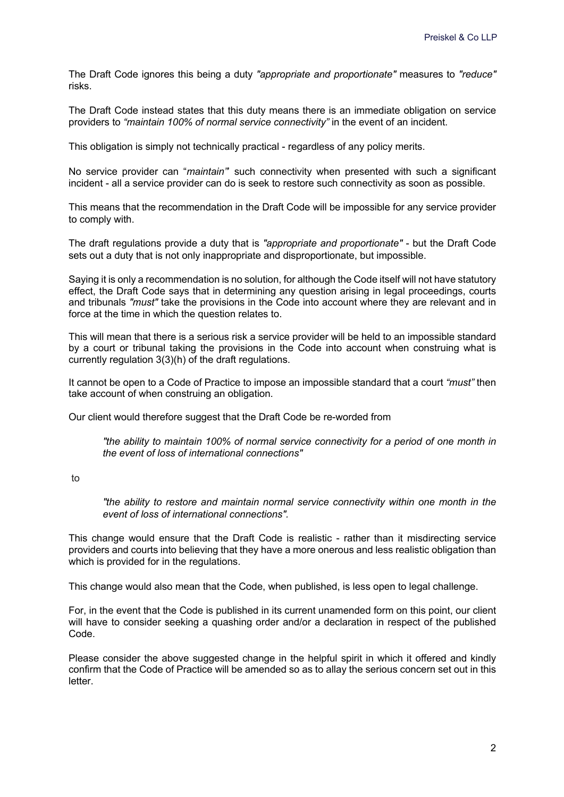The Draft Code ignores this being a duty *"appropriate and proportionate"* measures to *"reduce"* risks.

The Draft Code instead states that this duty means there is an immediate obligation on service providers to *"maintain 100% of normal service connectivity"* in the event of an incident.

This obligation is simply not technically practical - regardless of any policy merits.

No service provider can "*maintain"*' such connectivity when presented with such a significant incident - all a service provider can do is seek to restore such connectivity as soon as possible.

This means that the recommendation in the Draft Code will be impossible for any service provider to comply with.

The draft regulations provide a duty that is *"appropriate and proportionate"* - but the Draft Code sets out a duty that is not only inappropriate and disproportionate, but impossible.

Saying it is only a recommendation is no solution, for although the Code itself will not have statutory effect, the Draft Code says that in determining any question arising in legal proceedings, courts and tribunals *"must"* take the provisions in the Code into account where they are relevant and in force at the time in which the question relates to.

This will mean that there is a serious risk a service provider will be held to an impossible standard by a court or tribunal taking the provisions in the Code into account when construing what is currently regulation 3(3)(h) of the draft regulations.

It cannot be open to a Code of Practice to impose an impossible standard that a court *"must"* then take account of when construing an obligation.

Our client would therefore suggest that the Draft Code be re-worded from

*"the ability to maintain 100% of normal service connectivity for a period of one month in the event of loss of international connections"*

to

*"the ability to restore and maintain normal service connectivity within one month in the event of loss of international connections".*

This change would ensure that the Draft Code is realistic - rather than it misdirecting service providers and courts into believing that they have a more onerous and less realistic obligation than which is provided for in the regulations.

This change would also mean that the Code, when published, is less open to legal challenge.

For, in the event that the Code is published in its current unamended form on this point, our client will have to consider seeking a quashing order and/or a declaration in respect of the published Code.

Please consider the above suggested change in the helpful spirit in which it offered and kindly confirm that the Code of Practice will be amended so as to allay the serious concern set out in this letter.